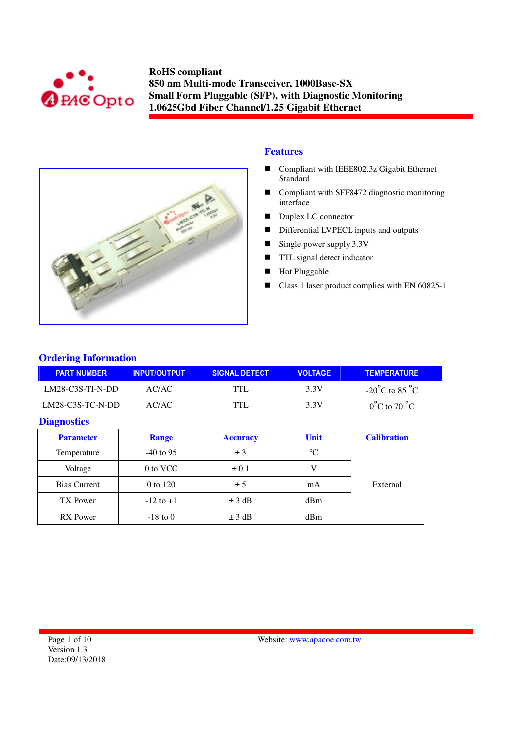



## **Features**

- Compliant with IEEE802.3z Gigabit Ethernet Standard
- Compliant with SFF8472 diagnostic monitoring interface
- Duplex LC connector
- Differential LVPECL inputs and outputs
- Single power supply  $3.3V$
- **TTL** signal detect indicator
- **Hot Pluggable**
- Class 1 laser product complies with EN 60825-1

## **Ordering Information**

| <b>PART NUMBER</b> | <b>INPUT/OUTPUT!</b> | <b>SIGNAL DETECT</b> | <b>VOLTAGE</b> | <b>TEMPERATURE</b>                 |
|--------------------|----------------------|----------------------|----------------|------------------------------------|
| $LM28-C3S-TI-N-DD$ | AC/AC                | TTI                  | 3.3V           | $-20^{\circ}$ C to 85 $^{\circ}$ C |
| LM28-C3S-TC-N-DD   | AC/AC.               | TTI                  | 3.3V           | $0^{\circ}$ C to 70 $^{\circ}$ C   |

### **Diagnostics**

| <b>Parameter</b>    | <b>Range</b>  | <b>Accuracy</b> | <b>Unit</b> | <b>Calibration</b> |  |
|---------------------|---------------|-----------------|-------------|--------------------|--|
| Temperature         | $-40$ to 95   | ±3              | $\rm ^{o}C$ |                    |  |
| Voltage             | 0 to VCC      | $\pm 0.1$       |             |                    |  |
| <b>Bias Current</b> | 0 to 120      | ± 5             | mA          | External           |  |
| TX Power            | $-12$ to $+1$ | $\pm$ 3 dB      | dBm         |                    |  |
| <b>RX</b> Power     | $-18$ to 0    | $\pm$ 3 dB      | dBm         |                    |  |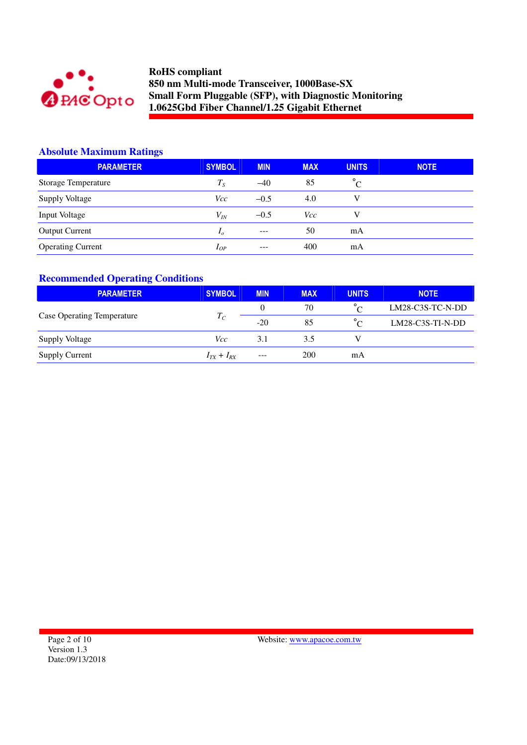

# **Absolute Maximum Ratings**

| <b>PARAMETER</b>         | <b>SYMBOL</b>  | <b>MIN</b> | <b>MAX</b> | <b>UNITS</b> | <b>NOTE</b> |
|--------------------------|----------------|------------|------------|--------------|-------------|
| Storage Temperature      | $T_S$          | $-40$      | 85         | $^{\circ}C$  |             |
| <b>Supply Voltage</b>    | Vcc            | $-0.5$     | 4.0        | V            |             |
| Input Voltage            | $V_{lN}$       | $-0.5$     | Vcc        | v            |             |
| <b>Output Current</b>    | I <sub>o</sub> | $---$      | 50         | mA           |             |
| <b>Operating Current</b> | $I_{OP}$       | $- - -$    | 400        | mA           |             |

## **Recommended Operating Conditions**

| <b>PARAMETER</b>                  | <b>SYMBOL</b>     | <b>MIN</b> | <b>MAX</b> | <b>UNITS</b> | <b>NOTE</b>        |
|-----------------------------------|-------------------|------------|------------|--------------|--------------------|
|                                   |                   | 0          | 70         | $\circ$      | $LM28-C3S-TC-N-DD$ |
| <b>Case Operating Temperature</b> | $T_C$             | $-20$      | 85         | $\circ$      | $LM28-C3S-TI-N-DD$ |
| <b>Supply Voltage</b>             | Vcc               | 3.1        | 3.5        |              |                    |
| <b>Supply Current</b>             | $I_{TX} + I_{RX}$ | $---$      | 200        | mA           |                    |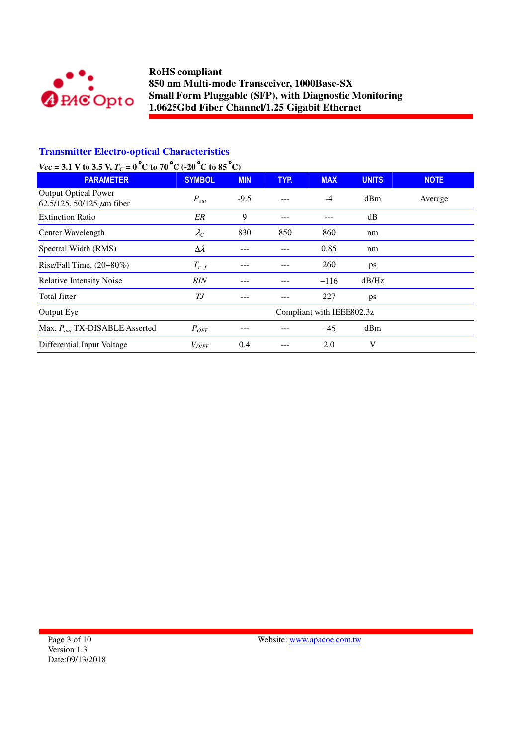

## **Transmitter Electro-optical Characteristics**

# *Vcc* = 3.1 V to 3.5 V,  $T_c = 0$  °C to 70 °C (-20 °C to 85 °C)

| <b>PARAMETER</b>                                              | <b>SYMBOL</b>             | <b>MIN</b> | TYP. | <b>MAX</b> | <b>UNITS</b> | <b>NOTE</b> |
|---------------------------------------------------------------|---------------------------|------------|------|------------|--------------|-------------|
| <b>Output Optical Power</b><br>62.5/125, 50/125 $\mu$ m fiber | $P_{out}$                 | $-9.5$     |      | $-4$       | dBm          | Average     |
| <b>Extinction Ratio</b>                                       | ER                        | 9          | ---  |            | dB           |             |
| Center Wavelength                                             | $\lambda_C$               | 830        | 850  | 860        | nm           |             |
| Spectral Width (RMS)                                          | $\Delta \lambda$          |            |      | 0.85       | nm           |             |
| Rise/Fall Time, $(20-80\%)$                                   | $T_{r,f}$                 |            |      | 260        | ps           |             |
| <b>Relative Intensity Noise</b>                               | RIN                       |            |      | $-116$     | dB/Hz        |             |
| <b>Total Jitter</b>                                           | ТJ                        |            |      | 227        | ps           |             |
| Output Eye                                                    | Compliant with IEEE802.3z |            |      |            |              |             |
| Max. $P_{out}$ TX-DISABLE Asserted                            | $P_{OFF}$                 |            |      | $-45$      | dBm          |             |
| Differential Input Voltage                                    | $V_{DIFF}$                | 0.4        |      | 2.0        | V            |             |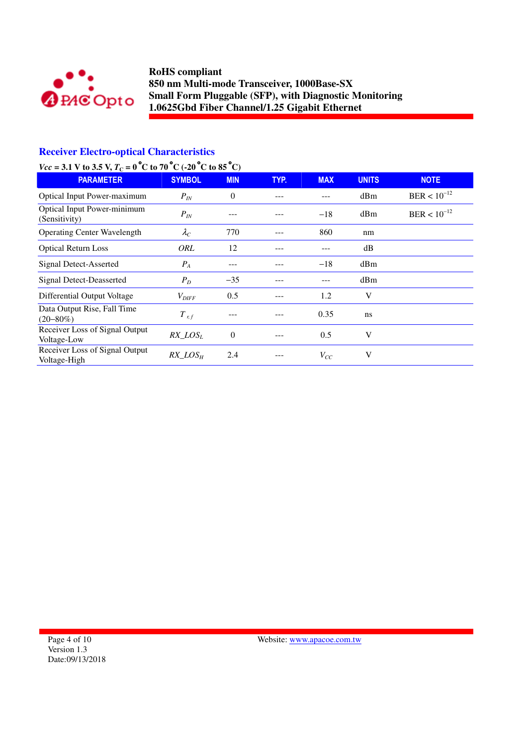

## **Receiver Electro-optical Characteristics**

# *Vcc* = 3.1 V to 3.5 V,  $T_c = 0$  °C to 70 °C (-20 °C to 85 °C)

| <b>PARAMETER</b>                               | <b>SYMBOL</b>     | <b>MIN</b>     | TYP. | <b>MAX</b> | <b>UNITS</b>    | <b>NOTE</b>      |
|------------------------------------------------|-------------------|----------------|------|------------|-----------------|------------------|
| <b>Optical Input Power-maximum</b>             | $P_{IN}$          | $\overline{0}$ |      |            | dBm             | $BER < 10^{-12}$ |
| Optical Input Power-minimum<br>(Sensitivity)   | $P_{IN}$          |                |      | $-18$      | d <sub>Bm</sub> | $BER < 10^{-12}$ |
| <b>Operating Center Wavelength</b>             | $\lambda_C$       | 770            |      | 860        | nm              |                  |
| <b>Optical Return Loss</b>                     | <b>ORL</b>        | 12             |      | ---        | dB              |                  |
| Signal Detect-Asserted                         | $P_A$             | ---            |      | $-18$      | dBm             |                  |
| Signal Detect-Deasserted                       | $P_D$             | $-35$          |      |            | dBm             |                  |
| Differential Output Voltage                    | $V_{\text{DIFF}}$ | 0.5            |      | 1.2        | V               |                  |
| Data Output Rise, Fall Time<br>$(20 - 80\%)$   | $T_{r,f}$         |                |      | 0.35       | ns              |                  |
| Receiver Loss of Signal Output<br>Voltage-Low  | $RX$ $LOS_L$      | $\Omega$       |      | 0.5        | V               |                  |
| Receiver Loss of Signal Output<br>Voltage-High | $RX\_LOS_H$       | 2.4            |      | $V_{CC}$   | V               |                  |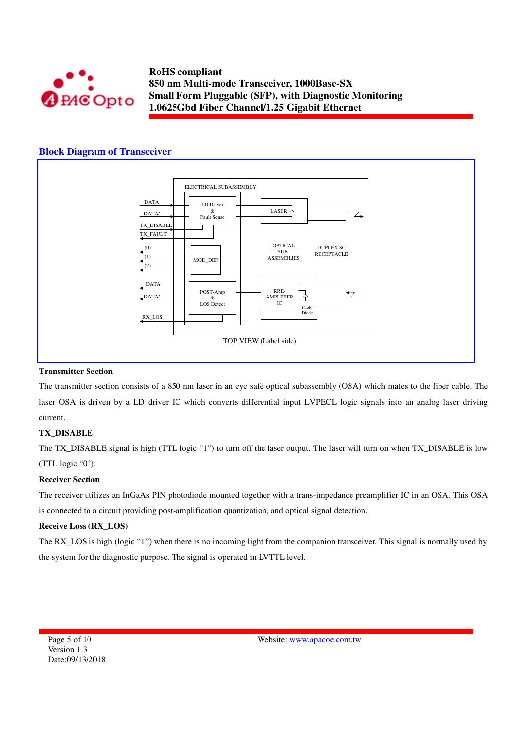

### **Block Diagram of Transceiver**



#### **Transmitter Section**

The transmitter section consists of a 850 nm laser in an eye safe optical subassembly (OSA) which mates to the fiber cable. The laser OSA is driven by a LD driver IC which converts differential input LVPECL logic signals into an analog laser driving current.

### **TX\_DISABLE**

The TX\_DISABLE signal is high (TTL logic "1") to turn off the laser output. The laser will turn on when TX\_DISABLE is low (TTL logic "0").

#### **Receiver Section**

The receiver utilizes an InGaAs PIN photodiode mounted together with a trans-impedance preamplifier IC in an OSA. This OSA is connected to a circuit providing post-amplification quantization, and optical signal detection.

#### **Receive Loss (RX\_LOS)**

The RX\_LOS is high (logic "1") when there is no incoming light from the companion transceiver. This signal is normally used by the system for the diagnostic purpose. The signal is operated in LVTTL level.

Page 5 of 10 Version 1.3 Date:09/13/2018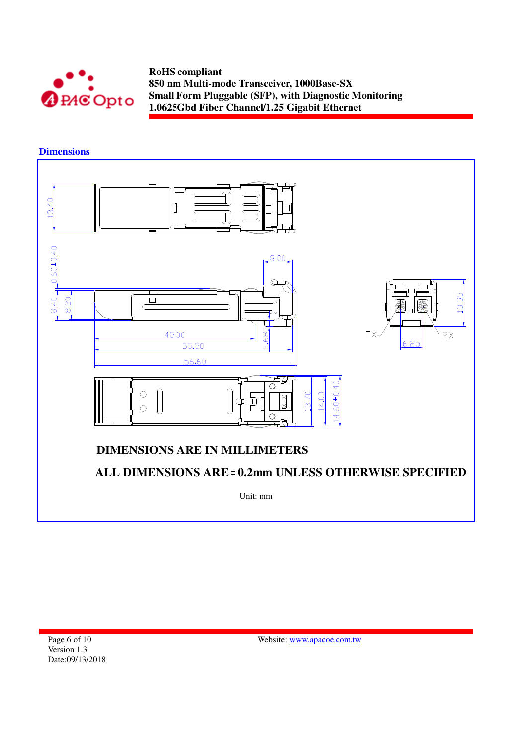

**Dimensions** 

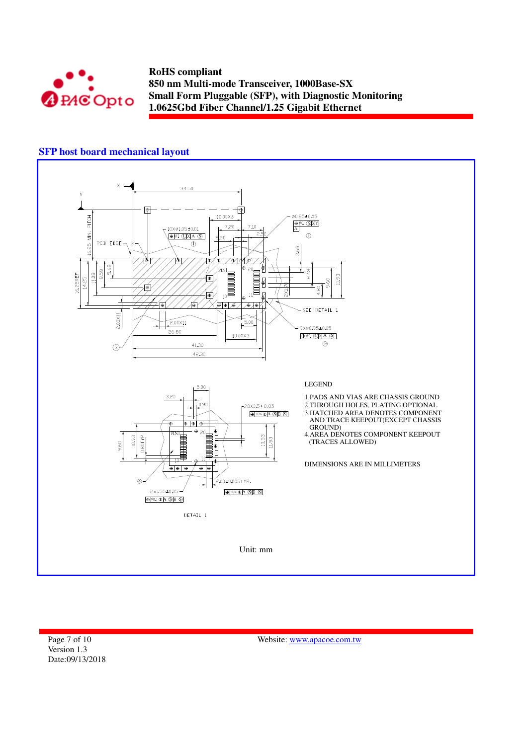

## **SFP host board mechanical layout**



Page 7 of 10 Version 1.3 Date:09/13/2018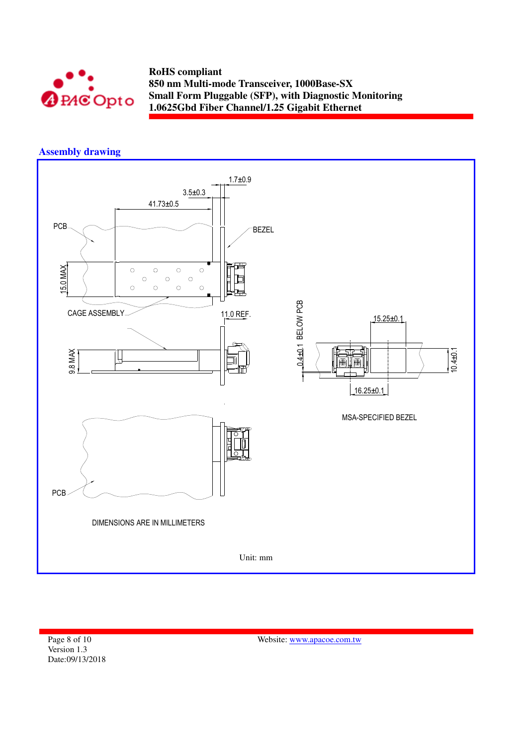

# **Assembly drawing**



Page 8 of 10 Version 1.3 Date:09/13/2018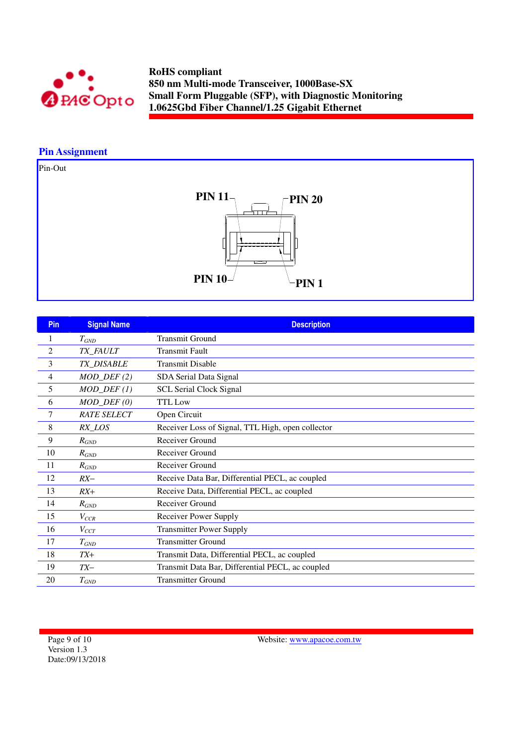

# **Pin Assignment**

Pin-Out



| Pin            | <b>Signal Name</b>          | <b>Description</b>                                |
|----------------|-----------------------------|---------------------------------------------------|
| 1              | $T_{GND}$                   | <b>Transmit Ground</b>                            |
| $\overline{2}$ | TX_FAULT                    | <b>Transmit Fault</b>                             |
| 3              | TX_DISABLE                  | <b>Transmit Disable</b>                           |
| 4              | $MOD_DEF(2)$                | SDA Serial Data Signal                            |
| 5              | $MOD_$ <del>DEF</del> $(1)$ | <b>SCL Serial Clock Signal</b>                    |
| 6              | $MOD_$ <i>DEF</i> $(0)$     | <b>TTL</b> Low                                    |
| 7              | <b>RATE SELECT</b>          | Open Circuit                                      |
| 8              | RX_LOS                      | Receiver Loss of Signal, TTL High, open collector |
| 9              | $R_{GND}$                   | Receiver Ground                                   |
| 10             | $R_{GND}$                   | Receiver Ground                                   |
| 11             | $R_{GND}$                   | Receiver Ground                                   |
| 12             | $RX-$                       | Receive Data Bar, Differential PECL, ac coupled   |
| 13             | $RX+$                       | Receive Data, Differential PECL, ac coupled       |
| 14             | $R_{GND}$                   | Receiver Ground                                   |
| 15             | $V_{CCR}$                   | Receiver Power Supply                             |
| 16             | $V_{CCT}$                   | <b>Transmitter Power Supply</b>                   |
| 17             | $T_{GND}$                   | <b>Transmitter Ground</b>                         |
| 18             | $TX+$                       | Transmit Data, Differential PECL, ac coupled      |
| 19             | $TX-$                       | Transmit Data Bar, Differential PECL, ac coupled  |
| 20             | $T_{GND}$                   | <b>Transmitter Ground</b>                         |